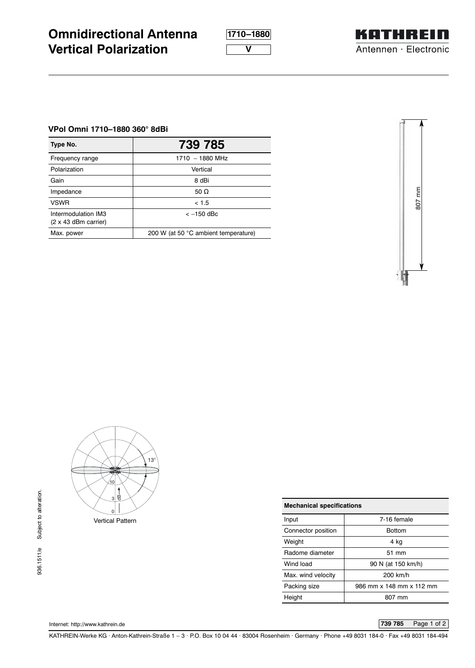**1710–1880**

**V**



## **VPol Omni 1710–1880 360° 8dBi**

**Vertical Polarization**

**Omnidirectional Antenna**

| Type No.                                           | 739 785                              |  |
|----------------------------------------------------|--------------------------------------|--|
| Frequency range                                    | $1710 - 1880$ MHz                    |  |
| Polarization                                       | Vertical                             |  |
| Gain                                               | 8 dBi                                |  |
| Impedance                                          | 50 $\Omega$                          |  |
| <b>VSWR</b>                                        | < 1.5                                |  |
| Intermodulation IM3<br>$(2 \times 43$ dBm carrier) | $<-150$ dBc                          |  |
| Max. power                                         | 200 W (at 50 °C ambient temperature) |  |





| <b>Mechanical specifications</b> |  |  |  |  |
|----------------------------------|--|--|--|--|
| 7-16 female                      |  |  |  |  |
| <b>Bottom</b>                    |  |  |  |  |
| 4 ka                             |  |  |  |  |
| 51 mm                            |  |  |  |  |
| 90 N (at 150 km/h)               |  |  |  |  |
| 200 km/h                         |  |  |  |  |
| 986 mm x 148 mm x 112 mm         |  |  |  |  |
| 807 mm                           |  |  |  |  |
|                                  |  |  |  |  |

Internet: http://www.kathrein.de **739 785** Page 1 of 2

KATHREIN-Werke KG . Anton-Kathrein-Straße 1 – 3 . P.O. Box 10 04 44 . 83004 Rosenheim . Germany . Phone +49 8031 184-0 . Fax +49 8031 184-494